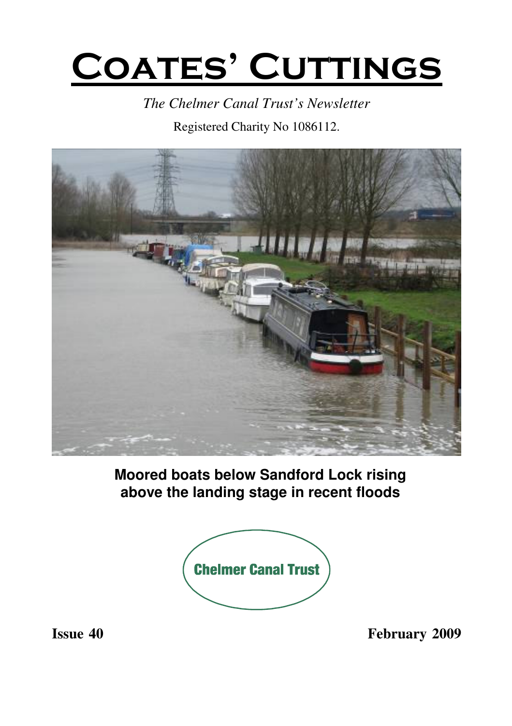# **COATES' CUTTINGS**

*The Chelmer Canal Trust's Newsletter*

Registered Charity No 1086112.



**Moored boats below Sandford Lock rising above the landing stage in recent floods**



**Issue 40 February 2009**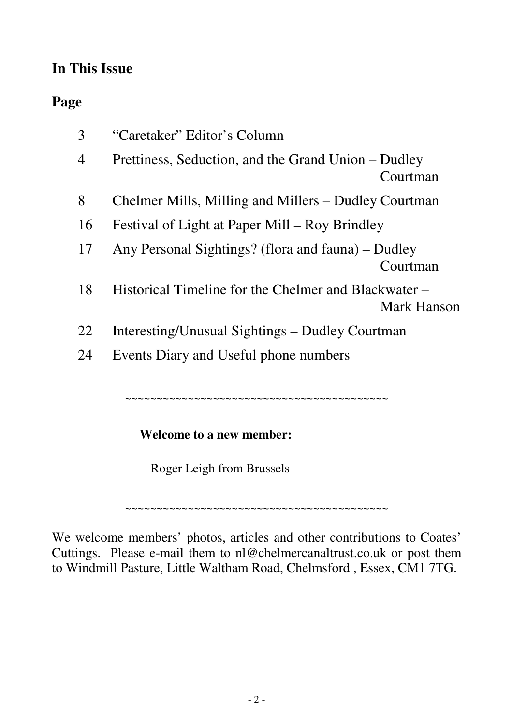#### **In This Issue**

#### **Page**

| 3  | "Caretaker" Editor's Column                                         |  |
|----|---------------------------------------------------------------------|--|
| 4  | Prettiness, Seduction, and the Grand Union – Dudley<br>Courtman     |  |
| 8  | Chelmer Mills, Milling and Millers – Dudley Courtman                |  |
| 16 | Festival of Light at Paper Mill – Roy Brindley                      |  |
| 17 | Any Personal Sightings? (flora and fauna) – Dudley<br>Courtman      |  |
| 18 | Historical Timeline for the Chelmer and Blackwater –<br>Mark Hanson |  |
| 22 | Interesting/Unusual Sightings – Dudley Courtman                     |  |
| 24 | Events Diary and Useful phone numbers                               |  |
|    |                                                                     |  |

~~~~~~~~~~~~~~~~~~~~~~~~~~~~~~~~~~~~

#### **Welcome to a new member:**

Roger Leigh from Brussels

~~~~~~~~~~~~~~~~~~~~~~~~~~~~~~~~~~~~~~~~~~

We welcome members' photos, articles and other contributions to Coates' Cuttings. Please e-mail them to nl@chelmercanaltrust.co.uk or post them to Windmill Pasture, Little Waltham Road, Chelmsford , Essex, CM1 7TG.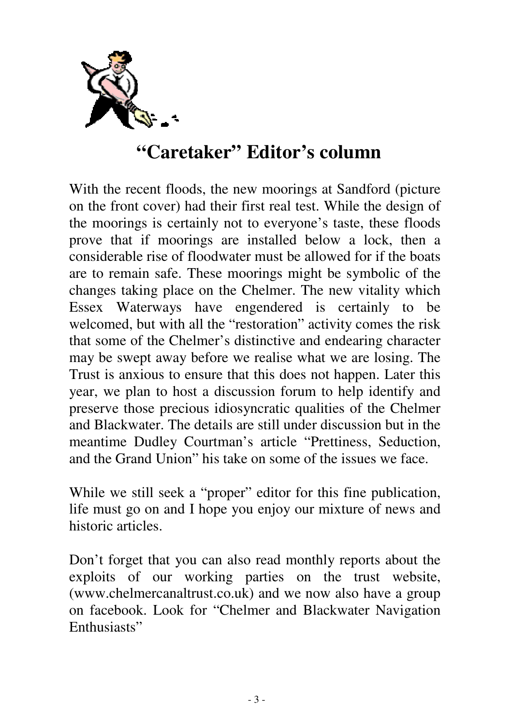

## **"Caretaker" Editor's column**

With the recent floods, the new moorings at Sandford (picture on the front cover) had their first real test. While the design of the moorings is certainly not to everyone's taste, these floods prove that if moorings are installed below a lock, then a considerable rise of floodwater must be allowed for if the boats are to remain safe. These moorings might be symbolic of the changes taking place on the Chelmer. The new vitality which Essex Waterways have engendered is certainly to be welcomed, but with all the "restoration" activity comes the risk that some of the Chelmer's distinctive and endearing character may be swept away before we realise what we are losing. The Trust is anxious to ensure that this does not happen. Later this year, we plan to host a discussion forum to help identify and preserve those precious idiosyncratic qualities of the Chelmer and Blackwater. The details are still under discussion but in the meantime Dudley Courtman's article "Prettiness, Seduction, and the Grand Union" his take on some of the issues we face.

While we still seek a "proper" editor for this fine publication, life must go on and I hope you enjoy our mixture of news and historic articles.

Don't forget that you can also read monthly reports about the exploits of our working parties on the trust website, (www.chelmercanaltrust.co.uk) and we now also have a group on facebook. Look for "Chelmer and Blackwater Navigation Enthusiasts"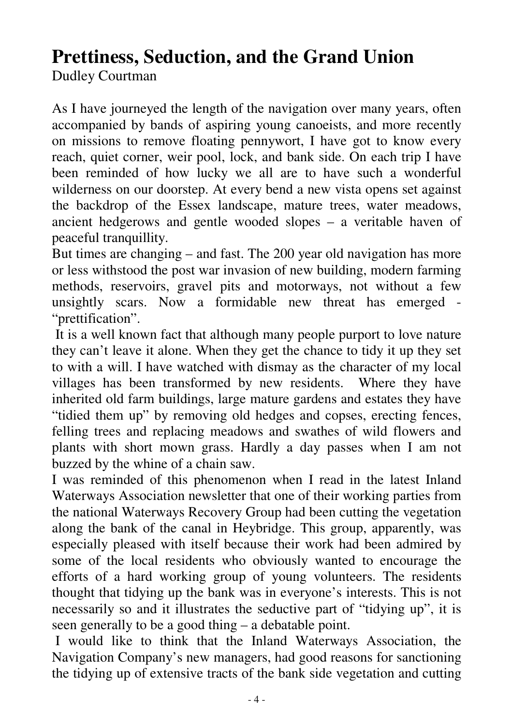# **Prettiness, Seduction, and the Grand Union**

Dudley Courtman

As I have journeyed the length of the navigation over many years, often accompanied by bands of aspiring young canoeists, and more recently on missions to remove floating pennywort, I have got to know every reach, quiet corner, weir pool, lock, and bank side. On each trip I have been reminded of how lucky we all are to have such a wonderful wilderness on our doorstep. At every bend a new vista opens set against the backdrop of the Essex landscape, mature trees, water meadows, ancient hedgerows and gentle wooded slopes – a veritable haven of peaceful tranquillity.

But times are changing – and fast. The 200 year old navigation has more or less withstood the post war invasion of new building, modern farming methods, reservoirs, gravel pits and motorways, not without a few unsightly scars. Now a formidable new threat has emerged - "prettification".

It is a well known fact that although many people purport to love nature they can't leave it alone. When they get the chance to tidy it up they set to with a will. I have watched with dismay as the character of my local villages has been transformed by new residents. Where they have inherited old farm buildings, large mature gardens and estates they have "tidied them up" by removing old hedges and copses, erecting fences, felling trees and replacing meadows and swathes of wild flowers and plants with short mown grass. Hardly a day passes when I am not buzzed by the whine of a chain saw.

I was reminded of this phenomenon when I read in the latest Inland Waterways Association newsletter that one of their working parties from the national Waterways Recovery Group had been cutting the vegetation along the bank of the canal in Heybridge. This group, apparently, was especially pleased with itself because their work had been admired by some of the local residents who obviously wanted to encourage the efforts of a hard working group of young volunteers. The residents thought that tidying up the bank was in everyone's interests. This is not necessarily so and it illustrates the seductive part of "tidying up", it is seen generally to be a good thing – a debatable point.

I would like to think that the Inland Waterways Association, the Navigation Company's new managers, had good reasons for sanctioning the tidying up of extensive tracts of the bank side vegetation and cutting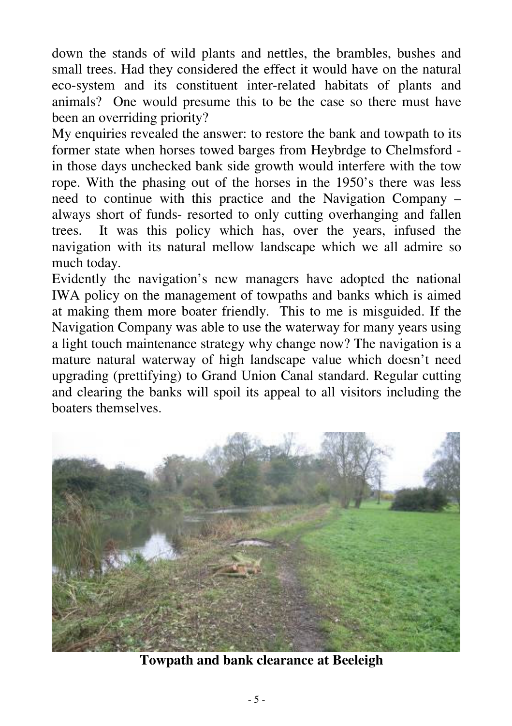down the stands of wild plants and nettles, the brambles, bushes and small trees. Had they considered the effect it would have on the natural eco-system and its constituent inter-related habitats of plants and animals? One would presume this to be the case so there must have been an overriding priority?

My enquiries revealed the answer: to restore the bank and towpath to its former state when horses towed barges from Heybrdge to Chelmsford in those days unchecked bank side growth would interfere with the tow rope. With the phasing out of the horses in the 1950's there was less need to continue with this practice and the Navigation Company – always short of funds- resorted to only cutting overhanging and fallen trees. It was this policy which has, over the years, infused the navigation with its natural mellow landscape which we all admire so much today.

Evidently the navigation's new managers have adopted the national IWA policy on the management of towpaths and banks which is aimed at making them more boater friendly. This to me is misguided. If the Navigation Company was able to use the waterway for many years using a light touch maintenance strategy why change now? The navigation is a mature natural waterway of high landscape value which doesn't need upgrading (prettifying) to Grand Union Canal standard. Regular cutting and clearing the banks will spoil its appeal to all visitors including the boaters themselves.



**Towpath and bank clearance at Beeleigh**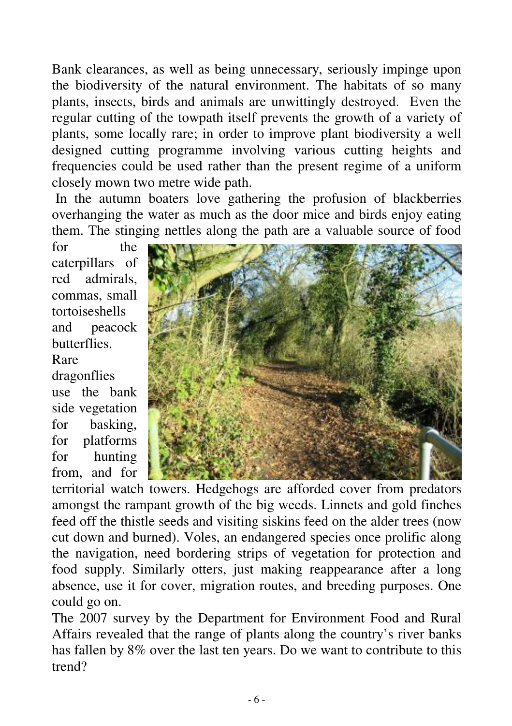Bank clearances, as well as being unnecessary, seriously impinge upon the biodiversity of the natural environment. The habitats of so many plants, insects, birds and animals are unwittingly destroyed. Even the regular cutting of the towpath itself prevents the growth of a variety of plants, some locally rare; in order to improve plant biodiversity a well designed cutting programme involving various cutting heights and frequencies could be used rather than the present regime of a uniform closely mown two metre wide path.

In the autumn boaters love gathering the profusion of blackberries overhanging the water as much as the door mice and birds enjoy eating them. The stinging nettles along the path are a valuable source of food

for the caterpillars of red admirals, commas, small tortoiseshells and peacock **butterflies** Rare dragonflies use the bank

side vegetation for basking, for platforms for hunting from, and for



territorial watch towers. Hedgehogs are afforded cover from predators amongst the rampant growth of the big weeds. Linnets and gold finches feed off the thistle seeds and visiting siskins feed on the alder trees (now cut down and burned). Voles, an endangered species once prolific along the navigation, need bordering strips of vegetation for protection and food supply. Similarly otters, just making reappearance after a long absence, use it for cover, migration routes, and breeding purposes. One could go on.

The 2007 survey by the Department for Environment Food and Rural Affairs revealed that the range of plants along the country's river banks has fallen by 8% over the last ten years. Do we want to contribute to this trend?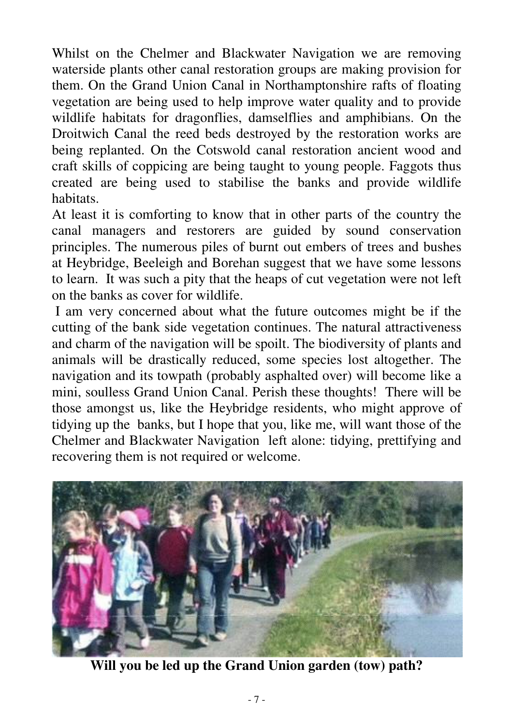Whilst on the Chelmer and Blackwater Navigation we are removing waterside plants other canal restoration groups are making provision for them. On the Grand Union Canal in Northamptonshire rafts of floating vegetation are being used to help improve water quality and to provide wildlife habitats for dragonflies, damselflies and amphibians. On the Droitwich Canal the reed beds destroyed by the restoration works are being replanted. On the Cotswold canal restoration ancient wood and craft skills of coppicing are being taught to young people. Faggots thus created are being used to stabilise the banks and provide wildlife habitats.

At least it is comforting to know that in other parts of the country the canal managers and restorers are guided by sound conservation principles. The numerous piles of burnt out embers of trees and bushes at Heybridge, Beeleigh and Borehan suggest that we have some lessons to learn. It was such a pity that the heaps of cut vegetation were not left on the banks as cover for wildlife.

I am very concerned about what the future outcomes might be if the cutting of the bank side vegetation continues. The natural attractiveness and charm of the navigation will be spoilt. The biodiversity of plants and animals will be drastically reduced, some species lost altogether. The navigation and its towpath (probably asphalted over) will become like a mini, soulless Grand Union Canal. Perish these thoughts! There will be those amongst us, like the Heybridge residents, who might approve of tidying up the banks, but I hope that you, like me, will want those of the Chelmer and Blackwater Navigation left alone: tidying, prettifying and recovering them is not required or welcome.



**Will you be led up the Grand Union garden (tow) path?**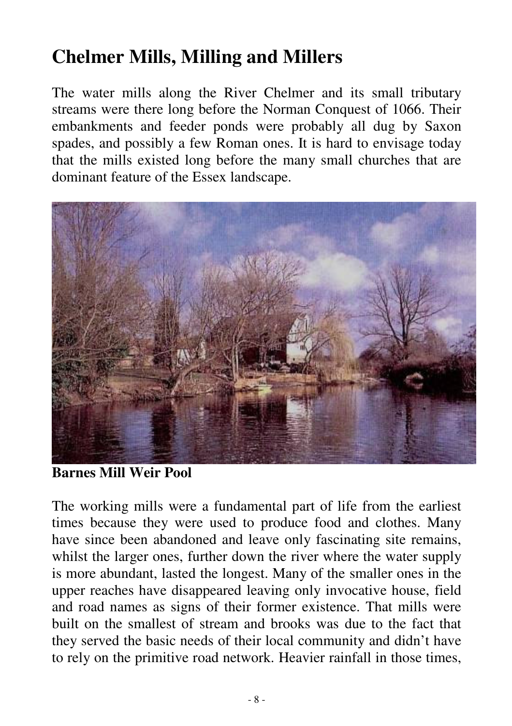# **Chelmer Mills, Milling and Millers**

The water mills along the River Chelmer and its small tributary streams were there long before the Norman Conquest of 1066. Their embankments and feeder ponds were probably all dug by Saxon spades, and possibly a few Roman ones. It is hard to envisage today that the mills existed long before the many small churches that are dominant feature of the Essex landscape.



**Barnes Mill Weir Pool**

The working mills were a fundamental part of life from the earliest times because they were used to produce food and clothes. Many have since been abandoned and leave only fascinating site remains, whilst the larger ones, further down the river where the water supply is more abundant, lasted the longest. Many of the smaller ones in the upper reaches have disappeared leaving only invocative house, field and road names as signs of their former existence. That mills were built on the smallest of stream and brooks was due to the fact that they served the basic needs of their local community and didn't have to rely on the primitive road network. Heavier rainfall in those times,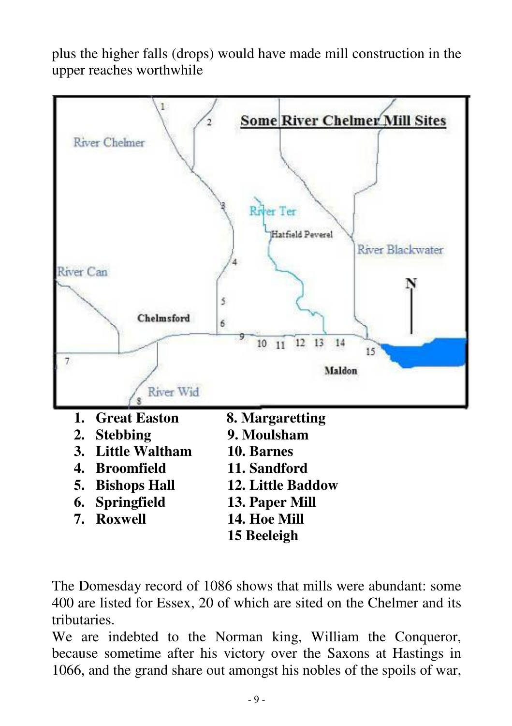plus the higher falls (drops) would have made mill construction in the upper reaches worthwhile



The Domesday record of 1086 shows that mills were abundant: some 400 are listed for Essex, 20 of which are sited on the Chelmer and its tributaries.

We are indebted to the Norman king, William the Conqueror, because sometime after his victory over the Saxons at Hastings in 1066, and the grand share out amongst his nobles of the spoils of war,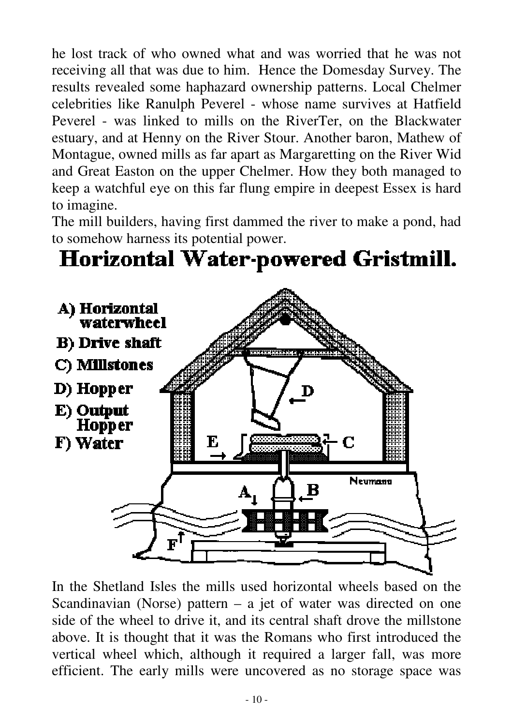he lost track of who owned what and was worried that he was not receiving all that was due to him. Hence the Domesday Survey. The results revealed some haphazard ownership patterns. Local Chelmer celebrities like Ranulph Peverel - whose name survives at Hatfield Peverel - was linked to mills on the RiverTer, on the Blackwater estuary, and at Henny on the River Stour. Another baron, Mathew of Montague, owned mills as far apart as Margaretting on the River Wid and Great Easton on the upper Chelmer. How they both managed to keep a watchful eye on this far flung empire in deepest Essex is hard to imagine.

The mill builders, having first dammed the river to make a pond, had to somehow harness its potential power.

# Horizontal Water-powered Gristmill.



In the Shetland Isles the mills used horizontal wheels based on the Scandinavian (Norse) pattern – a jet of water was directed on one side of the wheel to drive it, and its central shaft drove the millstone above. It is thought that it was the Romans who first introduced the vertical wheel which, although it required a larger fall, was more efficient. The early mills were uncovered as no storage space was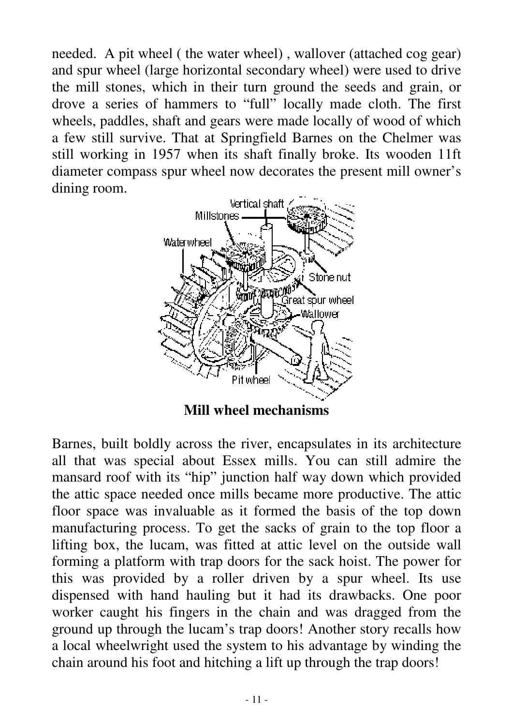needed. A pit wheel ( the water wheel) , wallover (attached cog gear) and spur wheel (large horizontal secondary wheel) were used to drive the mill stones, which in their turn ground the seeds and grain, or drove a series of hammers to "full" locally made cloth. The first wheels, paddles, shaft and gears were made locally of wood of which a few still survive. That at Springfield Barnes on the Chelmer was still working in 1957 when its shaft finally broke. Its wooden 11ft diameter compass spur wheel now decorates the present mill owner's dining room.



**Mill wheel mechanisms**

Barnes, built boldly across the river, encapsulates in its architecture all that was special about Essex mills. You can still admire the mansard roof with its "hip" junction half way down which provided the attic space needed once mills became more productive. The attic floor space was invaluable as it formed the basis of the top down manufacturing process. To get the sacks of grain to the top floor a lifting box, the lucam, was fitted at attic level on the outside wall forming a platform with trap doors for the sack hoist. The power for this was provided by a roller driven by a spur wheel. Its use dispensed with hand hauling but it had its drawbacks. One poor worker caught his fingers in the chain and was dragged from the ground up through the lucam's trap doors! Another story recalls how a local wheelwright used the system to his advantage by winding the chain around his foot and hitching a lift up through the trap doors!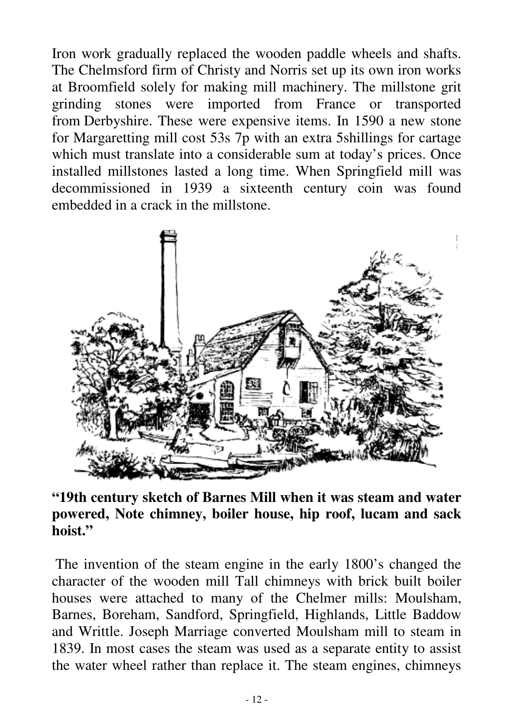Iron work gradually replaced the wooden paddle wheels and shafts. The Chelmsford firm of Christy and Norris set up its own iron works at Broomfield solely for making mill machinery. The millstone grit grinding stones were imported from France or transported from Derbyshire. These were expensive items. In 1590 a new stone for Margaretting mill cost 53s 7p with an extra 5shillings for cartage which must translate into a considerable sum at today's prices. Once installed millstones lasted a long time. When Springfield mill was decommissioned in 1939 a sixteenth century coin was found embedded in a crack in the millstone.



#### **"19th century sketch of Barnes Mill when it was steam and water powered, Note chimney, boiler house, hip roof, lucam and sack hoist."**

The invention of the steam engine in the early 1800's changed the character of the wooden mill Tall chimneys with brick built boiler houses were attached to many of the Chelmer mills: Moulsham, Barnes, Boreham, Sandford, Springfield, Highlands, Little Baddow and Writtle. Joseph Marriage converted Moulsham mill to steam in 1839. In most cases the steam was used as a separate entity to assist the water wheel rather than replace it. The steam engines, chimneys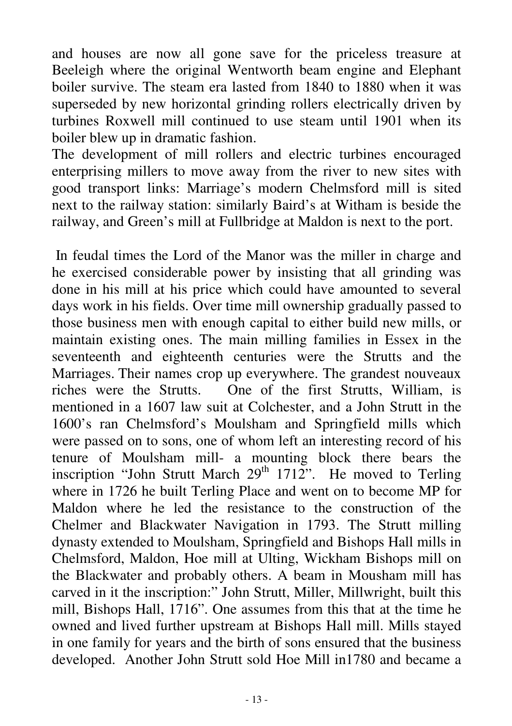and houses are now all gone save for the priceless treasure at Beeleigh where the original Wentworth beam engine and Elephant boiler survive. The steam era lasted from 1840 to 1880 when it was superseded by new horizontal grinding rollers electrically driven by turbines Roxwell mill continued to use steam until 1901 when its boiler blew up in dramatic fashion.

The development of mill rollers and electric turbines encouraged enterprising millers to move away from the river to new sites with good transport links: Marriage's modern Chelmsford mill is sited next to the railway station: similarly Baird's at Witham is beside the railway, and Green's mill at Fullbridge at Maldon is next to the port.

In feudal times the Lord of the Manor was the miller in charge and he exercised considerable power by insisting that all grinding was done in his mill at his price which could have amounted to several days work in his fields. Over time mill ownership gradually passed to those business men with enough capital to either build new mills, or maintain existing ones. The main milling families in Essex in the seventeenth and eighteenth centuries were the Strutts and the Marriages. Their names crop up everywhere. The grandest nouveaux riches were the Strutts. One of the first Strutts, William, is mentioned in a 1607 law suit at Colchester, and a John Strutt in the 1600's ran Chelmsford's Moulsham and Springfield mills which were passed on to sons, one of whom left an interesting record of his tenure of Moulsham mill- a mounting block there bears the inscription "John Strutt March  $29<sup>th</sup> 1712$ ". He moved to Terling where in 1726 he built Terling Place and went on to become MP for Maldon where he led the resistance to the construction of the Chelmer and Blackwater Navigation in 1793. The Strutt milling dynasty extended to Moulsham, Springfield and Bishops Hall mills in Chelmsford, Maldon, Hoe mill at Ulting, Wickham Bishops mill on the Blackwater and probably others. A beam in Mousham mill has carved in it the inscription:" John Strutt, Miller, Millwright, built this mill, Bishops Hall, 1716". One assumes from this that at the time he owned and lived further upstream at Bishops Hall mill. Mills stayed in one family for years and the birth of sons ensured that the business developed. Another John Strutt sold Hoe Mill in1780 and became a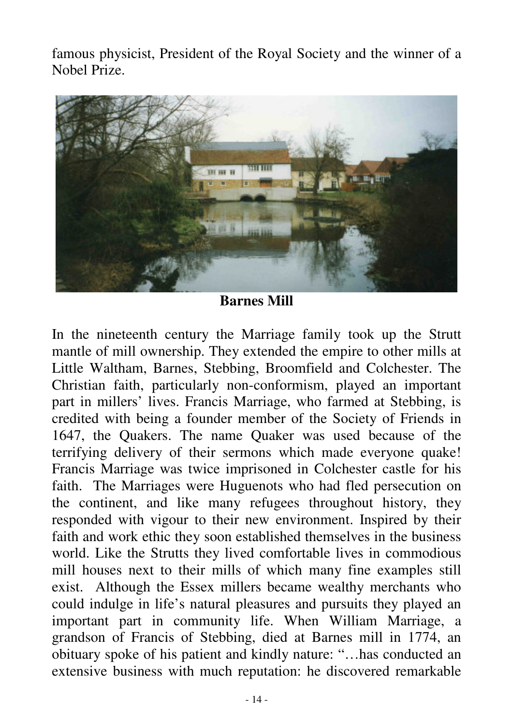famous physicist, President of the Royal Society and the winner of a Nobel Prize.



**Barnes Mill**

In the nineteenth century the Marriage family took up the Strutt mantle of mill ownership. They extended the empire to other mills at Little Waltham, Barnes, Stebbing, Broomfield and Colchester. The Christian faith, particularly non-conformism, played an important part in millers' lives. Francis Marriage, who farmed at Stebbing, is credited with being a founder member of the Society of Friends in 1647, the Quakers. The name Quaker was used because of the terrifying delivery of their sermons which made everyone quake! Francis Marriage was twice imprisoned in Colchester castle for his faith. The Marriages were Huguenots who had fled persecution on the continent, and like many refugees throughout history, they responded with vigour to their new environment. Inspired by their faith and work ethic they soon established themselves in the business world. Like the Strutts they lived comfortable lives in commodious mill houses next to their mills of which many fine examples still exist. Although the Essex millers became wealthy merchants who could indulge in life's natural pleasures and pursuits they played an important part in community life. When William Marriage, a grandson of Francis of Stebbing, died at Barnes mill in 1774, an obituary spoke of his patient and kindly nature: "…has conducted an extensive business with much reputation: he discovered remarkable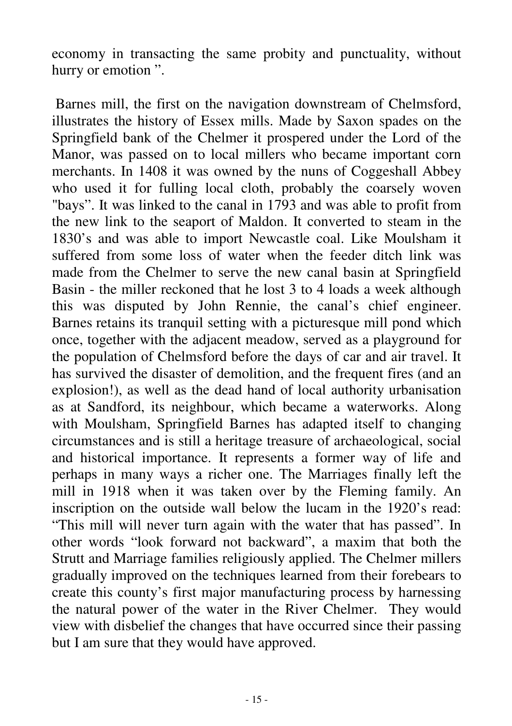economy in transacting the same probity and punctuality, without hurry or emotion ".

Barnes mill, the first on the navigation downstream of Chelmsford, illustrates the history of Essex mills. Made by Saxon spades on the Springfield bank of the Chelmer it prospered under the Lord of the Manor, was passed on to local millers who became important corn merchants. In 1408 it was owned by the nuns of Coggeshall Abbey who used it for fulling local cloth, probably the coarsely woven "bays". It was linked to the canal in 1793 and was able to profit from the new link to the seaport of Maldon. It converted to steam in the 1830's and was able to import Newcastle coal. Like Moulsham it suffered from some loss of water when the feeder ditch link was made from the Chelmer to serve the new canal basin at Springfield Basin - the miller reckoned that he lost 3 to 4 loads a week although this was disputed by John Rennie, the canal's chief engineer. Barnes retains its tranquil setting with a picturesque mill pond which once, together with the adjacent meadow, served as a playground for the population of Chelmsford before the days of car and air travel. It has survived the disaster of demolition, and the frequent fires (and an explosion!), as well as the dead hand of local authority urbanisation as at Sandford, its neighbour, which became a waterworks. Along with Moulsham, Springfield Barnes has adapted itself to changing circumstances and is still a heritage treasure of archaeological, social and historical importance. It represents a former way of life and perhaps in many ways a richer one. The Marriages finally left the mill in 1918 when it was taken over by the Fleming family. An inscription on the outside wall below the lucam in the 1920's read: "This mill will never turn again with the water that has passed". In other words "look forward not backward", a maxim that both the Strutt and Marriage families religiously applied. The Chelmer millers gradually improved on the techniques learned from their forebears to create this county's first major manufacturing process by harnessing the natural power of the water in the River Chelmer. They would view with disbelief the changes that have occurred since their passing but I am sure that they would have approved.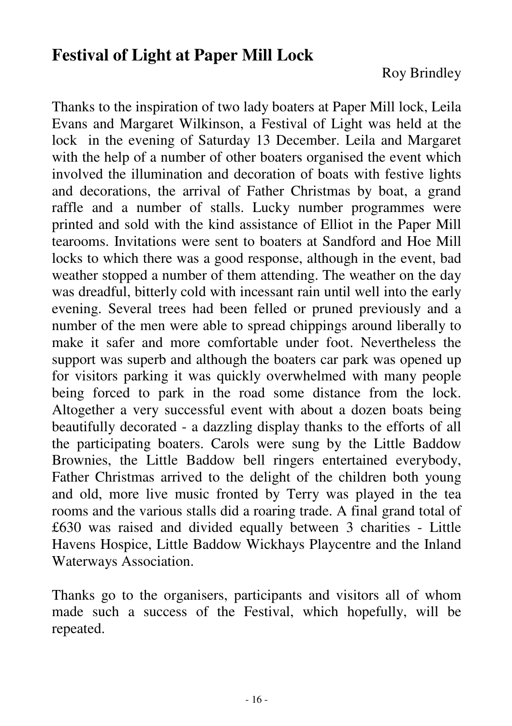#### **Festival of Light at Paper Mill Lock**

Thanks to the inspiration of two lady boaters at Paper Mill lock, Leila Evans and Margaret Wilkinson, a Festival of Light was held at the lock in the evening of Saturday 13 December. Leila and Margaret with the help of a number of other boaters organised the event which involved the illumination and decoration of boats with festive lights and decorations, the arrival of Father Christmas by boat, a grand raffle and a number of stalls. Lucky number programmes were printed and sold with the kind assistance of Elliot in the Paper Mill tearooms. Invitations were sent to boaters at Sandford and Hoe Mill locks to which there was a good response, although in the event, bad weather stopped a number of them attending. The weather on the day was dreadful, bitterly cold with incessant rain until well into the early evening. Several trees had been felled or pruned previously and a number of the men were able to spread chippings around liberally to make it safer and more comfortable under foot. Nevertheless the support was superb and although the boaters car park was opened up for visitors parking it was quickly overwhelmed with many people being forced to park in the road some distance from the lock. Altogether a very successful event with about a dozen boats being beautifully decorated - a dazzling display thanks to the efforts of all the participating boaters. Carols were sung by the Little Baddow Brownies, the Little Baddow bell ringers entertained everybody, Father Christmas arrived to the delight of the children both young and old, more live music fronted by Terry was played in the tea rooms and the various stalls did a roaring trade. A final grand total of £630 was raised and divided equally between 3 charities - Little Havens Hospice, Little Baddow Wickhays Playcentre and the Inland Waterways Association.

Thanks go to the organisers, participants and visitors all of whom made such a success of the Festival, which hopefully, will be repeated.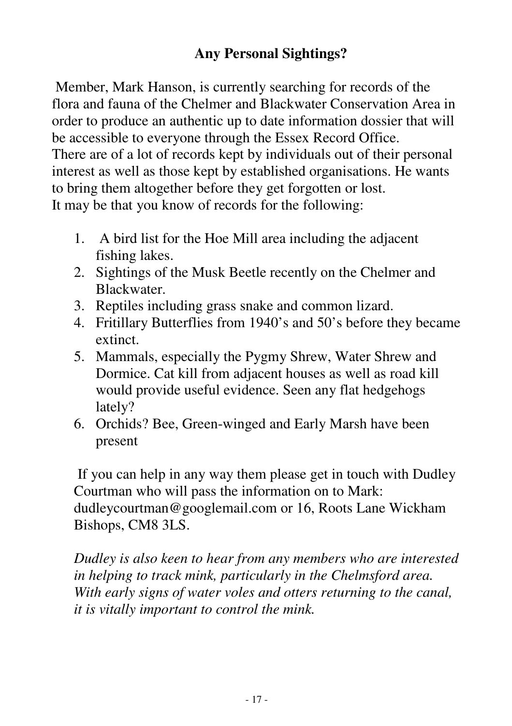#### **Any Personal Sightings?**

Member, Mark Hanson, is currently searching for records of the flora and fauna of the Chelmer and Blackwater Conservation Area in order to produce an authentic up to date information dossier that will be accessible to everyone through the Essex Record Office. There are of a lot of records kept by individuals out of their personal interest as well as those kept by established organisations. He wants to bring them altogether before they get forgotten or lost. It may be that you know of records for the following:

- 1. A bird list for the Hoe Mill area including the adjacent fishing lakes.
- 2. Sightings of the Musk Beetle recently on the Chelmer and Blackwater.
- 3. Reptiles including grass snake and common lizard.
- 4. Fritillary Butterflies from 1940's and 50's before they became extinct.
- 5. Mammals, especially the Pygmy Shrew, Water Shrew and Dormice. Cat kill from adjacent houses as well as road kill would provide useful evidence. Seen any flat hedgehogs lately?
- 6. Orchids? Bee, Green-winged and Early Marsh have been present

If you can help in any way them please get in touch with Dudley Courtman who will pass the information on to Mark: dudleycourtman@googlemail.com or 16, Roots Lane Wickham Bishops, CM8 3LS.

*Dudley is also keen to hear from any members who are interested in helping to track mink, particularly in the Chelmsford area. With early signs of water voles and otters returning to the canal, it is vitally important to control the mink.*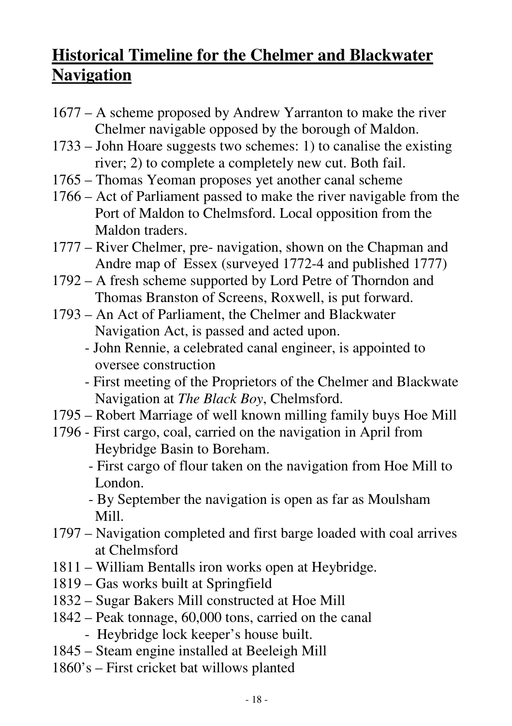## **Historical Timeline for the Chelmer and Blackwater Navigation**

- 1677 A scheme proposed by Andrew Yarranton to make the river Chelmer navigable opposed by the borough of Maldon.
- 1733 John Hoare suggests two schemes: 1) to canalise the existing river; 2) to complete a completely new cut. Both fail.
- 1765 Thomas Yeoman proposes yet another canal scheme
- 1766 Act of Parliament passed to make the river navigable from the Port of Maldon to Chelmsford. Local opposition from the Maldon traders.
- 1777 River Chelmer, pre- navigation, shown on the Chapman and Andre map of Essex (surveyed 1772-4 and published 1777)
- 1792 A fresh scheme supported by Lord Petre of Thorndon and Thomas Branston of Screens, Roxwell, is put forward.
- 1793 An Act of Parliament, the Chelmer and Blackwater Navigation Act, is passed and acted upon.
	- John Rennie, a celebrated canal engineer, is appointed to oversee construction
	- First meeting of the Proprietors of the Chelmer and Blackwate Navigation at *The Black Boy*, Chelmsford.
- 1795 Robert Marriage of well known milling family buys Hoe Mill
- 1796 First cargo, coal, carried on the navigation in April from Heybridge Basin to Boreham.
	- First cargo of flour taken on the navigation from Hoe Mill to London.
	- By September the navigation is open as far as Moulsham Mill.
- 1797 Navigation completed and first barge loaded with coal arrives at Chelmsford
- 1811 William Bentalls iron works open at Heybridge.
- 1819 Gas works built at Springfield
- 1832 Sugar Bakers Mill constructed at Hoe Mill
- 1842 Peak tonnage, 60,000 tons, carried on the canal - Heybridge lock keeper's house built.
- 1845 Steam engine installed at Beeleigh Mill
- 1860's First cricket bat willows planted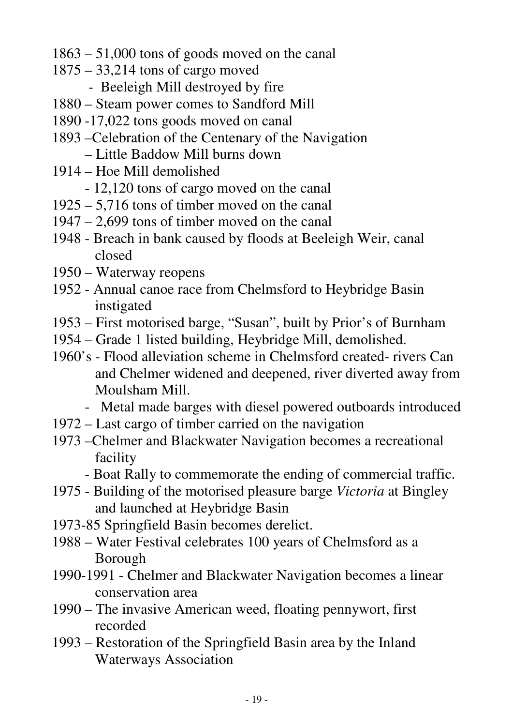- 1863 51,000 tons of goods moved on the canal
- 1875 33,214 tons of cargo moved
	- Beeleigh Mill destroyed by fire
- 1880 Steam power comes to Sandford Mill
- 1890 -17,022 tons goods moved on canal
- 1893 –Celebration of the Centenary of the Navigation – Little Baddow Mill burns down
- 1914 Hoe Mill demolished
	- 12,120 tons of cargo moved on the canal
- 1925 5,716 tons of timber moved on the canal
- 1947 2,699 tons of timber moved on the canal
- 1948 Breach in bank caused by floods at Beeleigh Weir, canal closed
- 1950 Waterway reopens
- 1952 Annual canoe race from Chelmsford to Heybridge Basin instigated
- 1953 First motorised barge, "Susan", built by Prior's of Burnham
- 1954 Grade 1 listed building, Heybridge Mill, demolished.
- 1960's Flood alleviation scheme in Chelmsford created- rivers Can and Chelmer widened and deepened, river diverted away from Moulsham Mill.
	- Metal made barges with diesel powered outboards introduced
- 1972 Last cargo of timber carried on the navigation
- 1973 –Chelmer and Blackwater Navigation becomes a recreational facility
	- Boat Rally to commemorate the ending of commercial traffic.
- 1975 Building of the motorised pleasure barge *Victoria* at Bingley and launched at Heybridge Basin
- 1973-85 Springfield Basin becomes derelict.
- 1988 Water Festival celebrates 100 years of Chelmsford as a Borough
- 1990-1991 Chelmer and Blackwater Navigation becomes a linear conservation area
- 1990 The invasive American weed, floating pennywort, first recorded
- 1993 Restoration of the Springfield Basin area by the Inland Waterways Association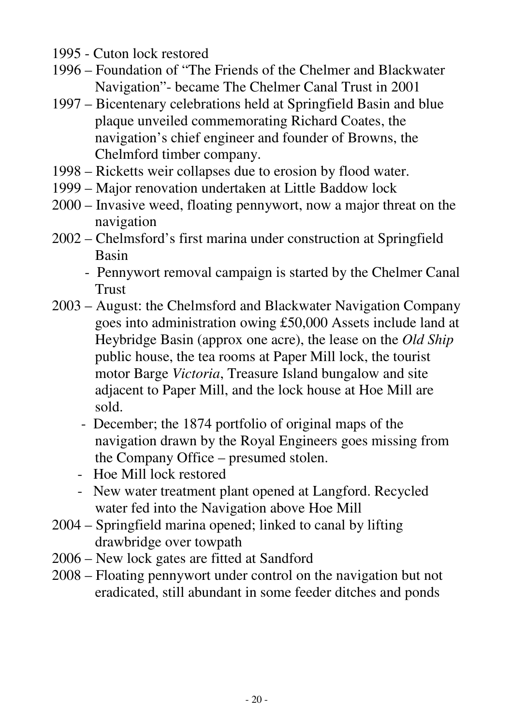- 1995 Cuton lock restored
- 1996 Foundation of "The Friends of the Chelmer and Blackwater Navigation"- became The Chelmer Canal Trust in 2001
- 1997 Bicentenary celebrations held at Springfield Basin and blue plaque unveiled commemorating Richard Coates, the navigation's chief engineer and founder of Browns, the Chelmford timber company.
- 1998 Ricketts weir collapses due to erosion by flood water.
- 1999 Major renovation undertaken at Little Baddow lock
- 2000 Invasive weed, floating pennywort, now a major threat on the navigation
- 2002 Chelmsford's first marina under construction at Springfield Basin
	- Pennywort removal campaign is started by the Chelmer Canal Trust
- 2003 August: the Chelmsford and Blackwater Navigation Company goes into administration owing £50,000 Assets include land at Heybridge Basin (approx one acre), the lease on the *Old Ship* public house, the tea rooms at Paper Mill lock, the tourist motor Barge *Victoria*, Treasure Island bungalow and site adjacent to Paper Mill, and the lock house at Hoe Mill are sold.
	- December; the 1874 portfolio of original maps of the navigation drawn by the Royal Engineers goes missing from the Company Office – presumed stolen.
	- Hoe Mill lock restored
	- New water treatment plant opened at Langford. Recycled water fed into the Navigation above Hoe Mill
- 2004 Springfield marina opened; linked to canal by lifting drawbridge over towpath
- 2006 New lock gates are fitted at Sandford
- 2008 Floating pennywort under control on the navigation but not eradicated, still abundant in some feeder ditches and ponds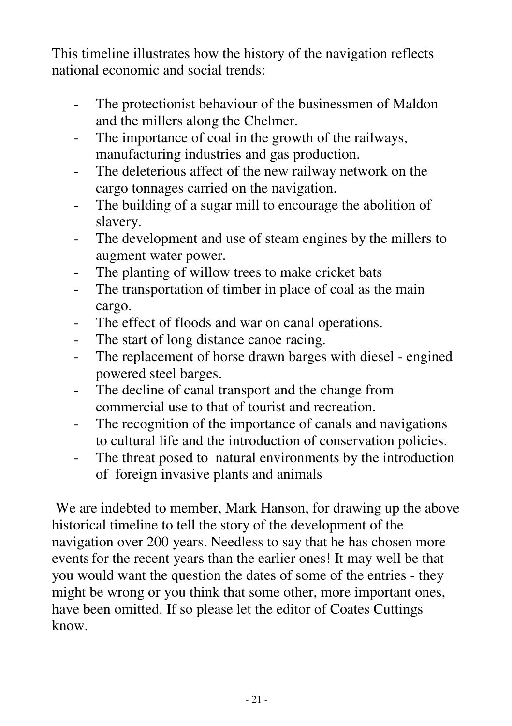This timeline illustrates how the history of the navigation reflects national economic and social trends:

- The protectionist behaviour of the businessmen of Maldon and the millers along the Chelmer.
- The importance of coal in the growth of the railways, manufacturing industries and gas production.
- The deleterious affect of the new railway network on the cargo tonnages carried on the navigation.
- The building of a sugar mill to encourage the abolition of slavery.
- The development and use of steam engines by the millers to augment water power.
- The planting of willow trees to make cricket bats
- The transportation of timber in place of coal as the main cargo.
- The effect of floods and war on canal operations.
- The start of long distance canoe racing.
- The replacement of horse drawn barges with diesel engined powered steel barges.
- The decline of canal transport and the change from commercial use to that of tourist and recreation.
- The recognition of the importance of canals and navigations to cultural life and the introduction of conservation policies.
- The threat posed to natural environments by the introduction of foreign invasive plants and animals

We are indebted to member, Mark Hanson, for drawing up the above historical timeline to tell the story of the development of the navigation over 200 years. Needless to say that he has chosen more eventsfor the recent years than the earlier ones! It may well be that you would want the question the dates of some of the entries - they might be wrong or you think that some other, more important ones, have been omitted. If so please let the editor of Coates Cuttings know.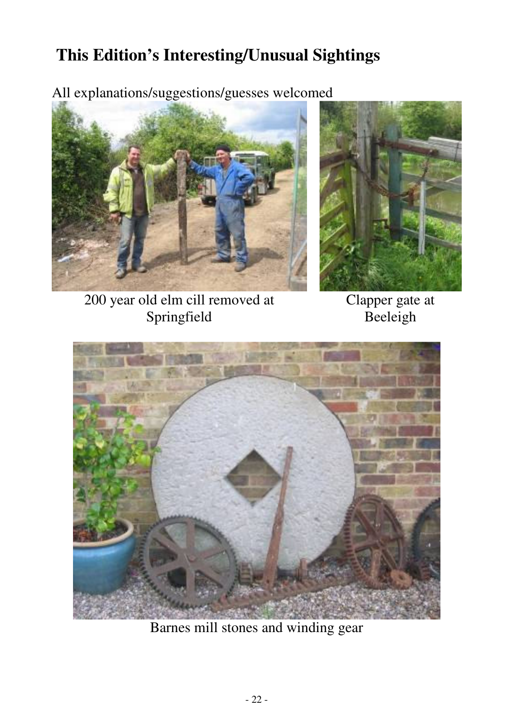## **This Edition's Interesting/Unusual Sightings**

All explanations/suggestions/guesses welcomed





200 year old elm cill removed at Springfield

Clapper gate at Beeleigh



Barnes mill stones and winding gear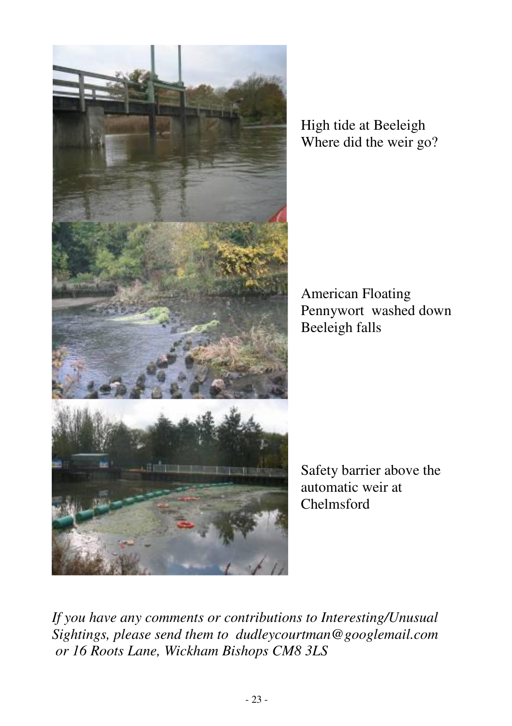

High tide at Beeleigh Where did the weir go?

American Floating Pennywort washed down Beeleigh falls

Safety barrier above the automatic weir at Chelmsford

*If you have any comments or contributions to Interesting/Unusual Sightings, please send them to dudleycourtman@googlemail.com or 16 Roots Lane, Wickham Bishops CM8 3LS*